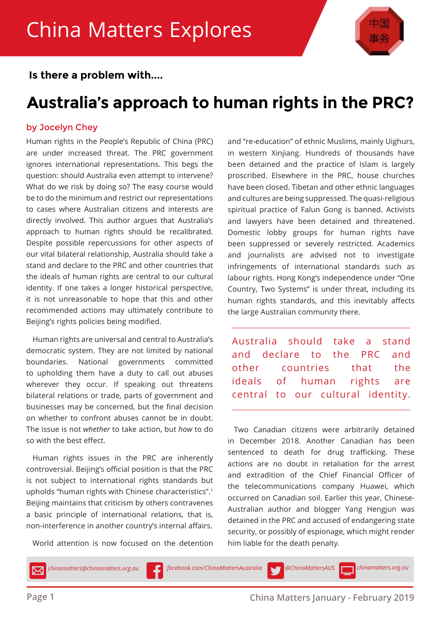

 **Is there a problem with....**

### **Australia's approach to human rights in the PRC?**

### by Jocelyn Chey

Human rights in the People's Republic of China (PRC) are under increased threat. The PRC government ignores international representations. This begs the question: should Australia even attempt to intervene? What do we risk by doing so? The easy course would be to do the minimum and restrict our representations to cases where Australian citizens and interests are directly involved. This author argues that Australia's approach to human rights should be recalibrated. Despite possible repercussions for other aspects of our vital bilateral relationship, Australia should take a stand and declare to the PRC and other countries that the ideals of human rights are central to our cultural identity. If one takes a longer historical perspective, it is not unreasonable to hope that this and other recommended actions may ultimately contribute to Beijing's rights policies being modified.

Human rights are universal and central to Australia's democratic system. They are not limited by national boundaries. National governments committed to upholding them have a duty to call out abuses wherever they occur. If speaking out threatens bilateral relations or trade, parts of government and businesses may be concerned, but the final decision on whether to confront abuses cannot be in doubt. The issue is not *whether* to take action, but *how* to do so with the best effect.

Human rights issues in the PRC are inherently controversial. Beijing's official position is that the PRC is not subject to international rights standards but upholds "human rights with Chinese characteristics".1 Beijing maintains that criticism by others contravenes a basic principle of international relations, that is, non-interference in another country's internal affairs.

World attention is now focused on the detention

and "re-education" of ethnic Muslims, mainly Uighurs, in western Xinjiang. Hundreds of thousands have been detained and the practice of Islam is largely proscribed. Elsewhere in the PRC, house churches have been closed. Tibetan and other ethnic languages and cultures are being suppressed. The quasi-religious spiritual practice of Falun Gong is banned. Activists and lawyers have been detained and threatened. Domestic lobby groups for human rights have been suppressed or severely restricted. Academics and journalists are advised not to investigate infringements of international standards such as labour rights. Hong Kong's independence under "One Country, Two Systems" is under threat, including its human rights standards, and this inevitably affects the large Australian community there.

Australia should take a stand and declare to the PRC and other countries that the ideals of human rights are central to our cultural identity.

Two Canadian citizens were arbitrarily detained in December 2018. Another Canadian has been sentenced to death for drug trafficking. These actions are no doubt in retaliation for the arrest and extradition of the Chief Financial Officer of the telecommunications company Huawei, which occurred on Canadian soil. Earlier this year, Chinese-Australian author and blogger Yang Hengjun was detained in the PRC and accused of endangering state security, or possibly of espionage, which might render him liable for the death penalty.

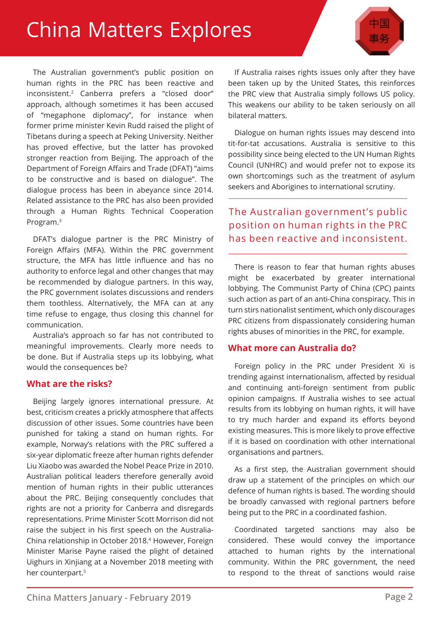## China Matters Explores

The Australian government's public position on human rights in the PRC has been reactive and inconsistent.2 Canberra prefers a "closed door" approach, although sometimes it has been accused of "megaphone diplomacy", for instance when former prime minister Kevin Rudd raised the plight of Tibetans during a speech at Peking University. Neither has proved effective, but the latter has provoked stronger reaction from Beijing. The approach of the Department of Foreign Affairs and Trade (DFAT) "aims to be constructive and is based on dialogue". The dialogue process has been in abeyance since 2014. Related assistance to the PRC has also been provided through a Human Rights Technical Cooperation Program.3

DFAT's dialogue partner is the PRC Ministry of Foreign Affairs (MFA). Within the PRC government structure, the MFA has little influence and has no authority to enforce legal and other changes that may be recommended by dialogue partners. In this way, the PRC government isolates discussions and renders them toothless. Alternatively, the MFA can at any time refuse to engage, thus closing this channel for communication.

Australia's approach so far has not contributed to meaningful improvements. Clearly more needs to be done. But if Australia steps up its lobbying, what would the consequences be?

#### **What are the risks?**

Beijing largely ignores international pressure. At best, criticism creates a prickly atmosphere that affects discussion of other issues. Some countries have been punished for taking a stand on human rights. For example, Norway's relations with the PRC suffered a six-year diplomatic freeze after human rights defender Liu Xiaobo was awarded the Nobel Peace Prize in 2010. Australian political leaders therefore generally avoid mention of human rights in their public utterances about the PRC. Beijing consequently concludes that rights are not a priority for Canberra and disregards representations. Prime Minister Scott Morrison did not raise the subject in his first speech on the Australia-China relationship in October 2018.4 However, Foreign Minister Marise Payne raised the plight of detained Uighurs in Xinjiang at a November 2018 meeting with her counterpart.<sup>5</sup>

If Australia raises rights issues only after they have been taken up by the United States, this reinforces the PRC view that Australia simply follows US policy. This weakens our ability to be taken seriously on all bilateral matters.

Dialogue on human rights issues may descend into tit-for-tat accusations. Australia is sensitive to this possibility since being elected to the UN Human Rights Council (UNHRC) and would prefer not to expose its own shortcomings such as the treatment of asylum seekers and Aborigines to international scrutiny.

### The Australian government's public position on human rights in the PRC has been reactive and inconsistent.

There is reason to fear that human rights abuses might be exacerbated by greater international lobbying. The Communist Party of China (CPC) paints such action as part of an anti-China conspiracy. This in turn stirs nationalist sentiment, which only discourages PRC citizens from dispassionately considering human rights abuses of minorities in the PRC, for example.

#### **What more can Australia do?**

Foreign policy in the PRC under President Xi is trending against internationalism, affected by residual and continuing anti-foreign sentiment from public opinion campaigns. If Australia wishes to see actual results from its lobbying on human rights, it will have to try much harder and expand its efforts beyond existing measures. This is more likely to prove effective if it is based on coordination with other international organisations and partners.

As a first step, the Australian government should draw up a statement of the principles on which our defence of human rights is based. The wording should be broadly canvassed with regional partners before being put to the PRC in a coordinated fashion.

Coordinated targeted sanctions may also be considered. These would convey the importance attached to human rights by the international community. Within the PRC government, the need to respond to the threat of sanctions would raise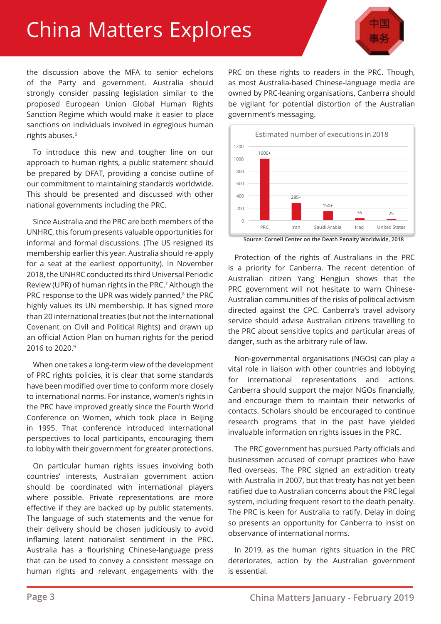# China Matters Explores



the discussion above the MFA to senior echelons of the Party and government. Australia should strongly consider passing legislation similar to the proposed European Union Global Human Rights Sanction Regime which would make it easier to place sanctions on individuals involved in egregious human rights abuses.<sup>6</sup>

To introduce this new and tougher line on our approach to human rights, a public statement should be prepared by DFAT, providing a concise outline of our commitment to maintaining standards worldwide. This should be presented and discussed with other national governments including the PRC.

Since Australia and the PRC are both members of the UNHRC, this forum presents valuable opportunities for informal and formal discussions. (The US resigned its membership earlier this year. Australia should re-apply for a seat at the earliest opportunity). In November 2018, the UNHRC conducted its third Universal Periodic Review (UPR) of human rights in the PRC.7 Although the PRC response to the UPR was widely panned,<sup>8</sup> the PRC highly values its UN membership. It has signed more than 20 international treaties (but not the International Covenant on Civil and Political Rights) and drawn up an official Action Plan on human rights for the period 2016 to 2020.9

When one takes a long-term view of the development of PRC rights policies, it is clear that some standards have been modified over time to conform more closely to international norms. For instance, women's rights in the PRC have improved greatly since the Fourth World Conference on Women, which took place in Beijing in 1995. That conference introduced international perspectives to local participants, encouraging them to lobby with their government for greater protections.

On particular human rights issues involving both countries' interests, Australian government action should be coordinated with international players where possible. Private representations are more effective if they are backed up by public statements. The language of such statements and the venue for their delivery should be chosen judiciously to avoid inflaming latent nationalist sentiment in the PRC. Australia has a flourishing Chinese-language press that can be used to convey a consistent message on human rights and relevant engagements with the PRC on these rights to readers in the PRC. Though, as most Australia-based Chinese-language media are owned by PRC-leaning organisations, Canberra should be vigilant for potential distortion of the Australian government's messaging.



**Source: Cornell Center on the Death Penalty Worldwide, 2018**

Protection of the rights of Australians in the PRC is a priority for Canberra. The recent detention of Australian citizen Yang Hengjun shows that the PRC government will not hesitate to warn Chinese-Australian communities of the risks of political activism directed against the CPC. Canberra's travel advisory service should advise Australian citizens travelling to the PRC about sensitive topics and particular areas of danger, such as the arbitrary rule of law.

Non-governmental organisations (NGOs) can play a vital role in liaison with other countries and lobbying for international representations and actions. Canberra should support the major NGOs financially, and encourage them to maintain their networks of contacts. Scholars should be encouraged to continue research programs that in the past have yielded invaluable information on rights issues in the PRC.

The PRC government has pursued Party officials and businessmen accused of corrupt practices who have fled overseas. The PRC signed an extradition treaty with Australia in 2007, but that treaty has not yet been ratified due to Australian concerns about the PRC legal system, including frequent resort to the death penalty. The PRC is keen for Australia to ratify. Delay in doing so presents an opportunity for Canberra to insist on observance of international norms.

In 2019, as the human rights situation in the PRC deteriorates, action by the Australian government is essential.